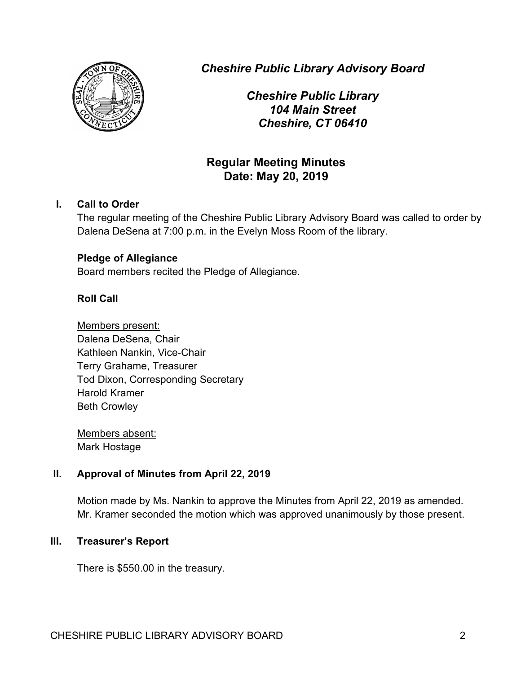

*Cheshire Public Library Advisory Board*

*Cheshire Public Library 104 Main Street Cheshire, CT 06410*

# **Regular Meeting Minutes Date: May 20, 2019**

# **I. Call to Order**

The regular meeting of the Cheshire Public Library Advisory Board was called to order by Dalena DeSena at 7:00 p.m. in the Evelyn Moss Room of the library.

## **Pledge of Allegiance**

Board members recited the Pledge of Allegiance.

# **Roll Call**

Members present: Dalena DeSena, Chair Kathleen Nankin, Vice-Chair Terry Grahame, Treasurer Tod Dixon, Corresponding Secretary Harold Kramer Beth Crowley

Members absent: Mark Hostage

## **II. Approval of Minutes from April 22, 2019**

Motion made by Ms. Nankin to approve the Minutes from April 22, 2019 as amended. Mr. Kramer seconded the motion which was approved unanimously by those present.

## **III. Treasurer's Report**

There is \$550.00 in the treasury.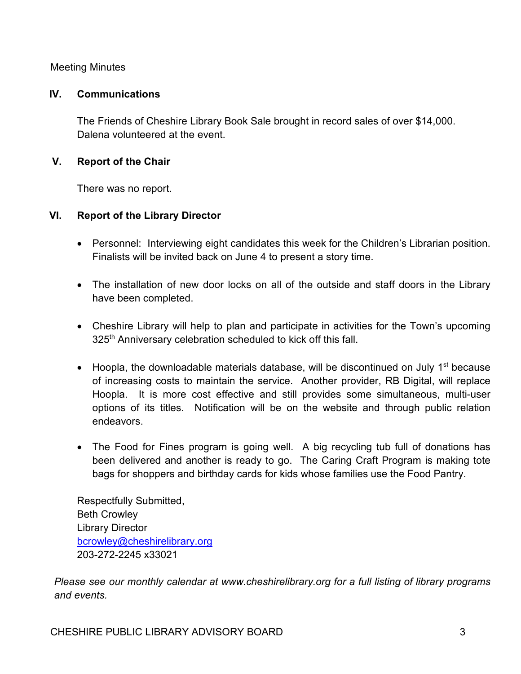Meeting Minutes

#### **IV. Communications**

The Friends of Cheshire Library Book Sale brought in record sales of over \$14,000. Dalena volunteered at the event.

## **V. Report of the Chair**

There was no report.

## **VI. Report of the Library Director**

- Personnel: Interviewing eight candidates this week for the Children's Librarian position. Finalists will be invited back on June 4 to present a story time.
- The installation of new door locks on all of the outside and staff doors in the Library have been completed.
- Cheshire Library will help to plan and participate in activities for the Town's upcoming 325<sup>th</sup> Anniversary celebration scheduled to kick off this fall.
- Hoopla, the downloadable materials database, will be discontinued on July  $1<sup>st</sup>$  because of increasing costs to maintain the service. Another provider, RB Digital, will replace Hoopla. It is more cost effective and still provides some simultaneous, multi-user options of its titles. Notification will be on the website and through public relation endeavors.
- The Food for Fines program is going well. A big recycling tub full of donations has been delivered and another is ready to go. The Caring Craft Program is making tote bags for shoppers and birthday cards for kids whose families use the Food Pantry.

Respectfully Submitted, Beth Crowley Library Director bcrowley@cheshirelibrary.org 203-272-2245 x33021

*Please see our monthly calendar at www.cheshirelibrary.org for a full listing of library programs and events.*